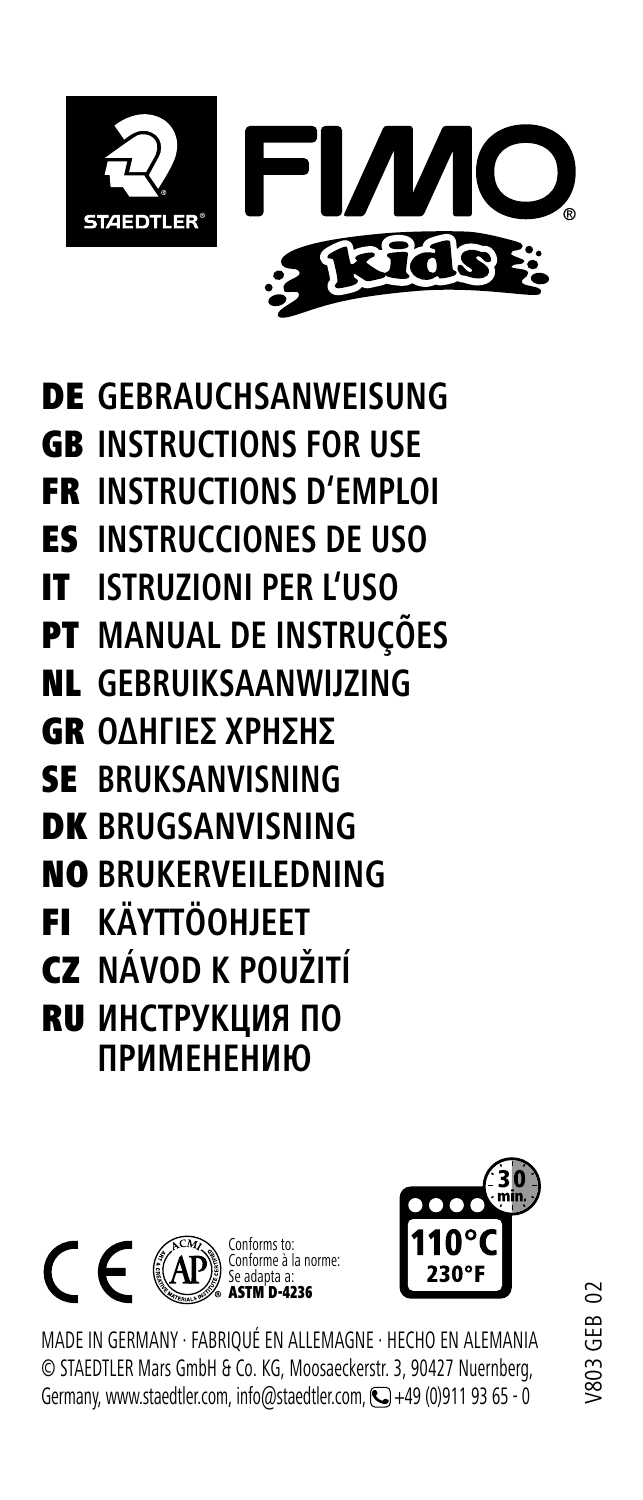



- DE **GEBRAUCHSANWEISUNG**
- GB **INSTRUCTIONS FOR USE**
- FR **INSTRUCTIONS D'EMPLOI**
- ES **INSTRUCCIONES DE USO**
- IT **ISTRUZIONI PER L'USO**
- PT **MANUAL DE INSTRUÇÕES**
- NL **GEBRUIKSAANWIJZING**
- GR **ΟΔΗΓΙΕΣ ΧΡΗΣΗΣ**
- SE **BRUKSANVISNING**
- DK **BRUGSANVISNING**
- NO **BRUKERVEILEDNING**
- FI **KÄYTTÖOHJEET**
- CZ **NÁVOD K POUŽITÍ**
- RU **ИНСТРУКЦИЯ ПО ПРИМЕНЕНИЮ**





MADE IN GERMANY · FABRIQUÉ EN ALLEMAGNE · HECHO EN ALEMANIA © STAEDTLER Mars GmbH & Co. KG, Moosaeckerstr. 3, 90427 Nuernberg, Germany, www.staedtler.com, info@staedtler.com,  $\bigodot$  +49 (0)911 93 65 - 0

 $\Omega$ V803 GEB 02/803 GEB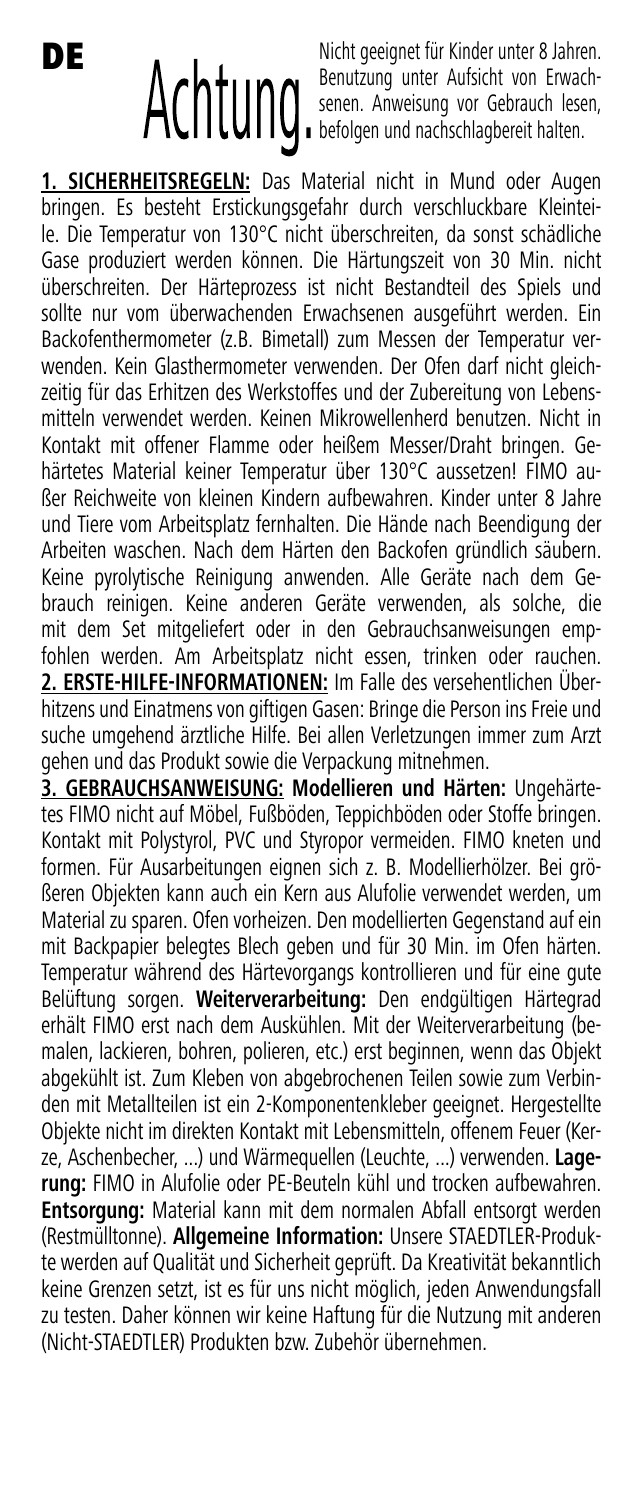#### DE

Nicht geeignet für Kinder unter 8 Jahren. Benutzung unter Aufsicht von Erwachsenen. Anweisung vor Gebrauch lesen, befolgen und nachschlagbereit halten.

**1. SICHERHEITSREGELN:** Das Material nicht in Mund oder Augen bringen. Es besteht Erstickungsgefahr durch verschluckbare Kleinteile. Die Temperatur von 130°C nicht überschreiten, da sonst schädliche Gase produziert werden können. Die Härtungszeit von 30 Min. nicht überschreiten. Der Härteprozess ist nicht Bestandteil des Spiels und sollte nur vom überwachenden Erwachsenen ausgeführt werden. Ein Backofenthermometer (z.B. Bimetall) zum Messen der Temperatur verwenden. Kein Glasthermometer verwenden. Der Ofen darf nicht gleichzeitig für das Erhitzen des Werkstoffes und der Zubereitung von Lebensmitteln verwendet werden. Keinen Mikrowellenherd benutzen. Nicht in Kontakt mit offener Flamme oder heißem Messer/Draht bringen. Gehärtetes Material keiner Temperatur über 130°C aussetzen! FIMO außer Reichweite von kleinen Kindern aufbewahren. Kinder unter 8 Jahre und Tiere vom Arbeitsplatz fernhalten. Die Hände nach Beendigung der Arbeiten waschen. Nach dem Härten den Backofen gründlich säubern. Keine pyrolytische Reinigung anwenden. Alle Geräte nach dem Gebrauch reinigen. Keine anderen Geräte verwenden, als solche, die mit dem Set mitgeliefert oder in den Gebrauchsanweisungen empfohlen werden. Am Arbeitsplatz nicht essen, trinken oder rauchen. **2. ERSTE-HILFE-INFORMATIONEN:** Im Falle des versehentlichen Überhitzens und Einatmens von giftigen Gasen: Bringe die Person ins Freie und suche umgehend ärztliche Hilfe. Bei allen Verletzungen immer zum Arzt gehen und das Produkt sowie die Verpackung mitnehmen.

**3. GEBRAUCHSANWEISUNG: Modellieren und Härten:** Ungehärtetes FIMO nicht auf Möbel, Fußböden, Teppichböden oder Stoffe bringen. Kontakt mit Polystyrol, PVC und Styropor vermeiden. FIMO kneten und formen. Für Ausarbeitungen eignen sich z. B. Modellierhölzer. Bei größeren Objekten kann auch ein Kern aus Alufolie verwendet werden, um Material zu sparen. Ofen vorheizen. Den modellierten Gegenstand auf ein mit Backpapier belegtes Blech geben und für 30 Min. im Ofen härten. Temperatur während des Härtevorgangs kontrollieren und für eine gute Belüftung sorgen. **Weiterverarbeitung:** Den endgültigen Härtegrad erhält FIMO erst nach dem Auskühlen. Mit der Weiterverarbeitung (bemalen, lackieren, bohren, polieren, etc.) erst beginnen, wenn das Objekt abgekühlt ist. Zum Kleben von abgebrochenen Teilen sowie zum Verbinden mit Metallteilen ist ein 2-Komponentenkleber geeignet. Hergestellte Objekte nicht im direkten Kontakt mit Lebensmitteln, offenem Feuer (Kerze, Aschenbecher, ...) und Wärmequellen (Leuchte, ...) verwenden. **Lagerung:** FIMO in Alufolie oder PE-Beuteln kühl und trocken aufbewahren. **Entsorgung:** Material kann mit dem normalen Abfall entsorgt werden (Restmülltonne). **Allgemeine Information:** Unsere STAEDTLER-Produkte werden auf Qualität und Sicherheit geprüft. Da Kreativität bekanntlich keine Grenzen setzt, ist es für uns nicht möglich, jeden Anwendungsfall zu testen. Daher können wir keine Haftung für die Nutzung mit anderen (Nicht-STAEDTLER) Produkten bzw. Zubehör übernehmen.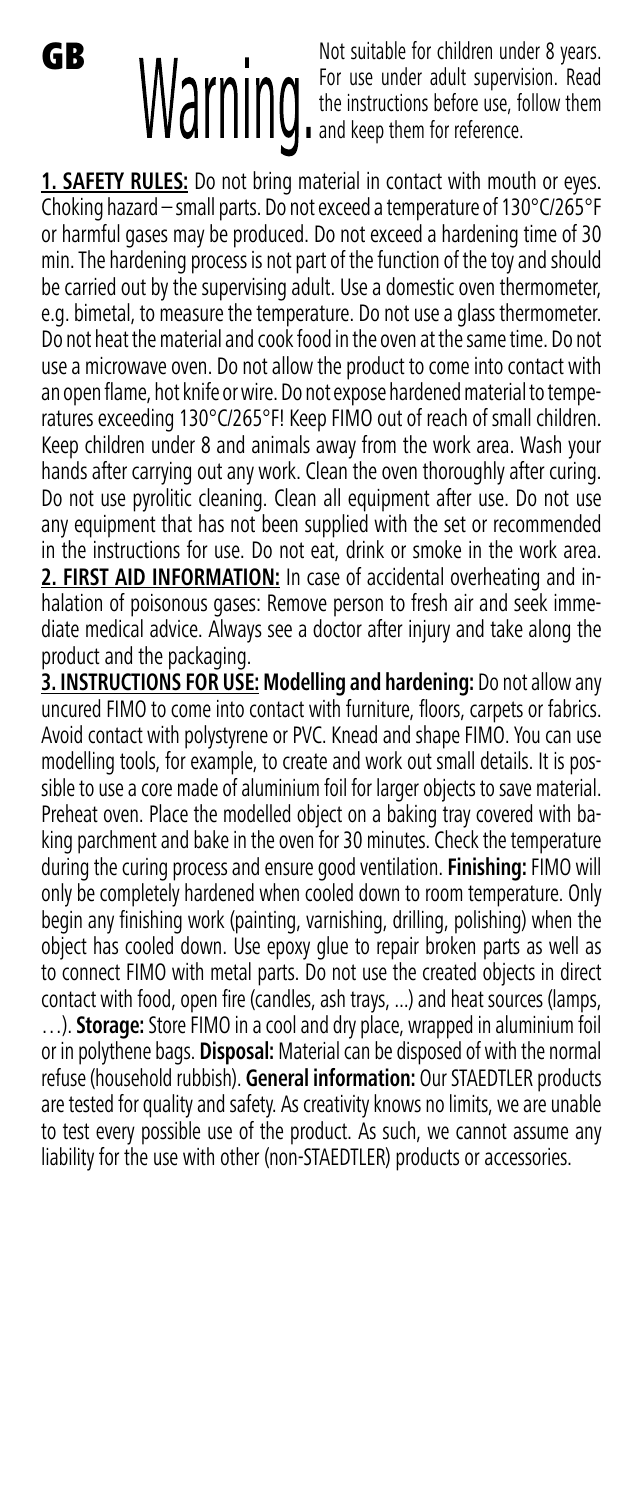#### GB**Warning**

Not suitable for children under 8 years. For use under adult supervision. Read the instructions before use, follow them and keep them for reference.

**1. SAFETY RULES:** Do not bring material in contact with mouth or eyes. Choking hazard – small parts. Do not exceed a temperature of 130°C/265°F or harmful gases may be produced. Do not exceed a hardening time of 30 min. The hardening process is not part of the function of the toy and should be carried out by the supervising adult. Use a domestic oven thermometer, e.g. bimetal, to measure the temperature. Do not use a glass thermometer. Do not heat the material and cook food in the oven at the same time. Do not use a microwave oven. Do not allow the product to come into contact with an open flame, hot knife or wire. Do not expose hardened material to temperatures exceeding 130°C/265°F! Keep FIMO out of reach of small children. Keep children under 8 and animals away from the work area. Wash your hands after carrying out any work. Clean the oven thoroughly after curing. Do not use pyrolitic cleaning. Clean all equipment after use. Do not use any equipment that has not been supplied with the set or recommended in the instructions for use. Do not eat, drink or smoke in the work area. **2. FIRST AID INFORMATION:** In case of accidental overheating and inhalation of poisonous gases: Remove person to fresh air and seek immediate medical advice. Always see a doctor after injury and take along the product and the packaging.

**3. INSTRUCTIONS FOR USE: Modelling and hardening:** Do not allow any uncured FIMO to come into contact with furniture, floors, carpets or fabrics. Avoid contact with polystyrene or PVC. Knead and shape FIMO. You can use modelling tools, for example, to create and work out small details. It is possible to use a core made of aluminium foil for larger objects to save material. Preheat oven. Place the modelled object on a baking tray covered with baking parchment and bake in the oven for 30 minutes. Check the temperature during the curing process and ensure good ventilation. **Finishing:** FIMO will only be completely hardened when cooled down to room temperature. Only begin any finishing work (painting, varnishing, drilling, polishing) when the object has cooled down. Use epoxy glue to repair broken parts as well as to connect FIMO with metal parts. Do not use the created objects in direct contact with food, open fire (candles, ash trays, ...) and heat sources (lamps,

…). **Storage:** Store FIMO in a cool and dry place, wrapped in aluminium foil or in polythene bags. **Disposal:** Material can be disposed of with the normal refuse (household rubbish). **General information:** Our STAEDTLER products are tested for quality and safety. As creativity knows no limits, we are unable to test every possible use of the product. As such, we cannot assume any liability for the use with other (non-STAEDTLER) products or accessories.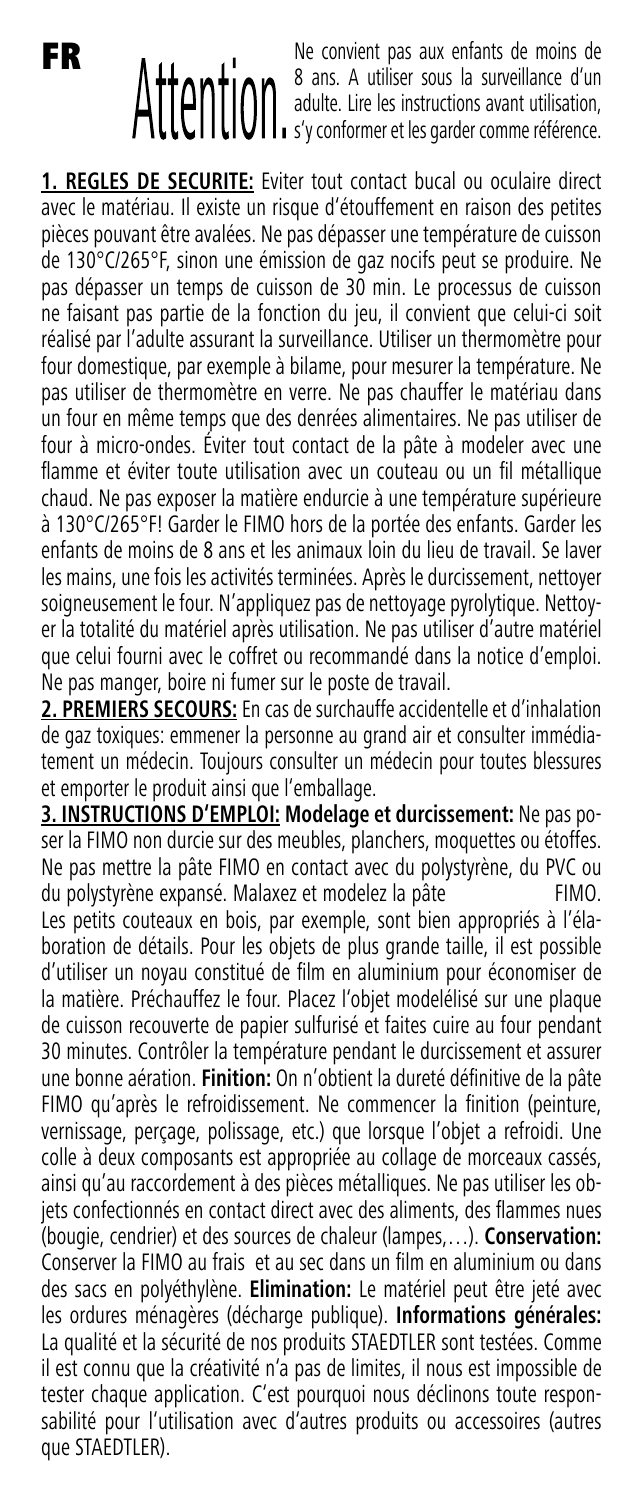#### FR

Ne convient pas aux enfants de moins de 8 ans. A utiliser sous la surveillance d'un adulte. Lire les instructions avant utilisation, s'y conformer et les garder comme référence.

**1. REGLES DE SECURITE:** Eviter tout contact bucal ou oculaire direct avec le matériau. Il existe un risque d'étouffement en raison des petites pièces pouvant être avalées. Ne pas dépasser une température de cuisson de 130°C/265°F, sinon une émission de gaz nocifs peut se produire. Ne pas dépasser un temps de cuisson de 30 min. Le processus de cuisson ne faisant pas partie de la fonction du jeu, il convient que celui-ci soit réalisé par l'adulte assurant la surveillance. Utiliser un thermomètre pour four domestique, par exemple à bilame, pour mesurer la température. Ne pas utiliser de thermomètre en verre. Ne pas chauffer le matériau dans un four en même temps que des denrées alimentaires. Ne pas utiliser de four à micro-ondes. Éviter tout contact de la pâte à modeler avec une flamme et éviter toute utilisation avec un couteau ou un fil métallique chaud. Ne pas exposer la matière endurcie à une température supérieure à 130°C/265°F! Garder le FIMO hors de la portée des enfants. Garder les enfants de moins de 8 ans et les animaux loin du lieu de travail. Se laver les mains, une fois les activités terminées. Après le durcissement, nettoyer soigneusement le four. N'appliquez pas de nettoyage pyrolytique. Nettoyer la totalité du matériel après utilisation. Ne pas utiliser d'autre matériel que celui fourni avec le coffret ou recommandé dans la notice d'emploi. Ne pas manger, boire ni fumer sur le poste de travail.

**2. PREMIERS SECOURS:** En cas de surchauffe accidentelle et d'inhalation de gaz toxiques: emmener la personne au grand air et consulter immédiatement un médecin. Toujours consulter un médecin pour toutes blessures et emporter le produit ainsi que l'emballage.

**3. INSTRUCTIONS D'EMPLOI: Modelage et durcissement:** Ne pas poser la FIMO non durcie sur des meubles, planchers, moquettes ou étoffes. Ne pas mettre la pâte FIMO en contact avec du polystyrène, du PVC ou du polystyrène expansé. Malaxez et modelez la pâte FIMO. Les petits couteaux en bois, par exemple, sont bien appropriés à l'élaboration de détails. Pour les objets de plus grande taille, il est possible d'utiliser un noyau constitué de film en aluminium pour économiser de la matière. Préchauffez le four. Placez l'objet modelélisé sur une plaque de cuisson recouverte de papier sulfurisé et faites cuire au four pendant 30 minutes. Contrôler la température pendant le durcissement et assurer une bonne aération. **Finition:** On n'obtient la dureté définitive de la pâte FIMO qu'après le refroidissement. Ne commencer la finition (peinture, vernissage, perçage, polissage, etc.) que lorsque l'objet a refroidi. Une colle à deux composants est appropriée au collage de morceaux cassés, ainsi qu'au raccordement à des pièces métalliques. Ne pas utiliser les objets confectionnés en contact direct avec des aliments, des flammes nues (bougie, cendrier) et des sources de chaleur (lampes,…). **Conservation:**  Conserver la FIMO au frais et au sec dans un film en aluminium ou dans des sacs en polyéthylène. **Elimination:** Le matériel peut être jeté avec les ordures ménagères (décharge publique). **Informations générales:**  La qualité et la sécurité de nos produits STAEDTLER sont testées. Comme il est connu que la créativité n'a pas de limites, il nous est impossible de tester chaque application. C'est pourquoi nous déclinons toute responsabilité pour l'utilisation avec d'autres produits ou accessoires (autres que STAEDTLER).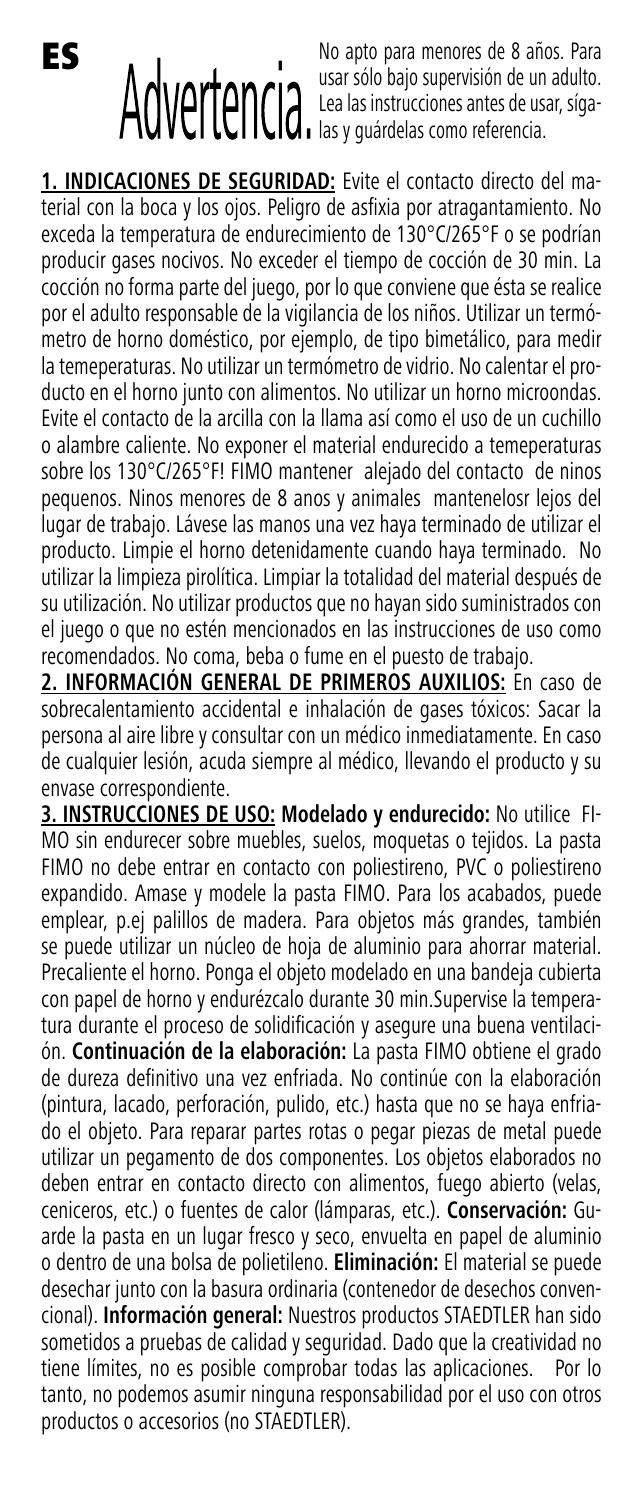### ES

No apto para menores de 8 años. Para usar sólo bajo supervisión de un adulto. Lea las instrucciones antes de usar, sígalas y guárdelas como referencia.

**1. INDICACIONES DE SEGURIDAD:** Evite el contacto directo del material con la boca y los ojos. Peligro de asfixia por atragantamiento. No exceda la temperatura de endurecimiento de 130°C/265°F o se podrían producir gases nocivos. No exceder el tiempo de cocción de 30 min. La cocción no forma parte del juego, por lo que conviene que ésta se realice por el adulto responsable de la vigilancia de los niños. Utilizar un termómetro de horno doméstico, por ejemplo, de tipo bimetálico, para medir la temeperaturas. No utilizar un termómetro de vidrio. No calentar el producto en el horno junto con alimentos. No utilizar un horno microondas. Evite el contacto de la arcilla con la llama así como el uso de un cuchillo o alambre caliente. No exponer el material endurecido a temeperaturas sobre los 130°C/265°F! FIMO mantener alejado del contacto de ninos pequenos. Ninos menores de 8 anos y animales mantenelosr lejos del lugar de trabajo. Lávese las manos una vez haya terminado de utilizar el producto. Limpie el horno detenidamente cuando haya terminado. No utilizar la limpieza pirolítica. Limpiar la totalidad del material después de su utilización. No utilizar productos que no hayan sido suministrados con el juego o que no estén mencionados en las instrucciones de uso como recomendados. No coma, beba o fume en el puesto de trabajo.

**2. INFORMACIÓN GENERAL DE PRIMEROS AUXILIOS:** En caso de sobrecalentamiento accidental e inhalación de gases tóxicos: Sacar la persona al aire libre y consultar con un médico inmediatamente. En caso de cualquier lesión, acuda siempre al médico, llevando el producto y su envase correspondiente.

**3. INSTRUCCIONES DE USO: Modelado y endurecido:** No utilice FI-MO sin endurecer sobre muebles, suelos, moquetas o tejidos. La pasta FIMO no debe entrar en contacto con poliestireno, PVC o poliestireno expandido. Amase y modele la pasta FIMO. Para los acabados, puede emplear, p.ej palillos de madera. Para objetos más grandes, también se puede utilizar un núcleo de hoja de aluminio para ahorrar material. Precaliente el horno. Ponga el objeto modelado en una bandeja cubierta con papel de horno y endurézcalo durante 30 min.Supervise la temperatura durante el proceso de solidificación y asegure una buena ventilación. **Continuación de la elaboración:** La pasta FIMO obtiene el grado de dureza definitivo una vez enfriada. No continúe con la elaboración (pintura, lacado, perforación, pulido, etc.) hasta que no se haya enfriado el objeto. Para reparar partes rotas o pegar piezas de metal puede utilizar un pegamento de dos componentes. Los objetos elaborados no deben entrar en contacto directo con alimentos, fuego abierto (velas, ceniceros, etc.) o fuentes de calor (lámparas, etc.). **Conservación:** Guarde la pasta en un lugar fresco y seco, envuelta en papel de aluminio o dentro de una bolsa de polietileno. **Eliminación:** El material se puede desechar junto con la basura ordinaria (contenedor de desechos convencional). **Información general:** Nuestros productos STAEDTLER han sido sometidos a pruebas de calidad y seguridad. Dado que la creatividad no tiene límites, no es posible comprobar todas las aplicaciones. Por lo tanto, no podemos asumir ninguna responsabilidad por el uso con otros productos o accesorios (no STAEDTLER).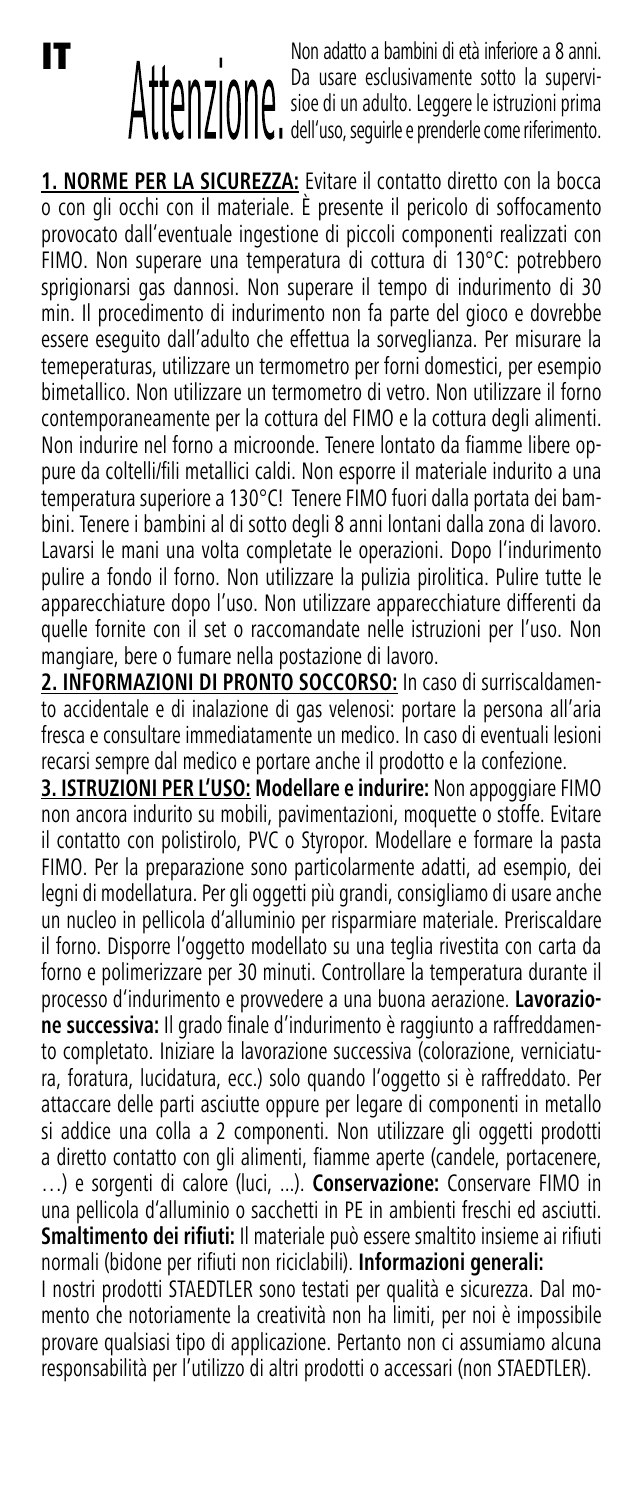IT

Non adatto a bambini di età inferiore a 8 anni. Da usare esclusivamente sotto la supervisioe di un adulto. Leggere le istruzioni prima dell'uso, seguirle e prenderle come riferimento.

**1. NORME PER LA SICUREZZA:** Evitare il contatto diretto con la bocca o con gli occhi con il materiale. È presente il pericolo di soffocamento provocato dall'eventuale ingestione di piccoli componenti realizzati con FIMO. Non superare una temperatura di cottura di 130°C: potrebbero sprigionarsi gas dannosi. Non superare il tempo di indurimento di 30 min. Il procedimento di indurimento non fa parte del gioco e dovrebbe essere eseguito dall'adulto che effettua la sorveglianza. Per misurare la temeperaturas, utilizzare un termometro per forni domestici, per esempio bimetallico. Non utilizzare un termometro di vetro. Non utilizzare il forno contemporaneamente per la cottura del FIMO e la cottura degli alimenti. Non indurire nel forno a microonde. Tenere lontato da fiamme libere oppure da coltelli/fili metallici caldi. Non esporre il materiale indurito a una temperatura superiore a 130°C! Tenere FIMO fuori dalla portata dei bambini. Tenere i bambini al di sotto degli 8 anni lontani dalla zona di lavoro. Lavarsi le mani una volta completate le operazioni. Dopo l'indurimento pulire a fondo il forno. Non utilizzare la pulizia pirolitica. Pulire tutte le apparecchiature dopo l'uso. Non utilizzare apparecchiature differenti da quelle fornite con il set o raccomandate nelle istruzioni per l'uso. Non mangiare, bere o fumare nella postazione di lavoro.

**2. INFORMAZIONI DI PRONTO SOCCORSO:** In caso di surriscaldamento accidentale e di inalazione di gas velenosi: portare la persona all'aria fresca e consultare immediatamente un medico. In caso di eventuali lesioni recarsi sempre dal medico e portare anche il prodotto e la confezione.

**3. ISTRUZIONI PER L'USO: Modellare e indurire:** Non appoggiare FIMO non ancora indurito su mobili, pavimentazioni, moquette o stoffe. Evitare il contatto con polistirolo, PVC o Styropor. Modellare e formare la pasta FIMO. Per la preparazione sono particolarmente adatti, ad esempio, dei legni di modellatura. Per gli oggetti più grandi, consigliamo di usare anche un nucleo in pellicola d'alluminio per risparmiare materiale. Preriscaldare il forno. Disporre l'oggetto modellato su una teglia rivestita con carta da forno e polimerizzare per 30 minuti. Controllare la temperatura durante il processo d'indurimento e provvedere a una buona aerazione. **Lavorazione successiva:** Il grado finale d'indurimento è raggiunto a raffreddamento completato. Iniziare la lavorazione successiva (colorazione, verniciatura, foratura, lucidatura, ecc.) solo quando l'oggetto si è raffreddato. Per attaccare delle parti asciutte oppure per legare di componenti in metallo si addice una colla a 2 componenti. Non utilizzare gli oggetti prodotti a diretto contatto con gli alimenti, fiamme aperte (candele, portacenere, …) e sorgenti di calore (luci, ...). **Conservazione:** Conservare FIMO in una pellicola d'alluminio o sacchetti in PE in ambienti freschi ed asciutti. **Smaltimento dei rifiuti:** Il materiale può essere smaltito insieme ai rifiuti normali (bidone per rifiuti non riciclabili). **Informazioni generali:** I nostri prodotti STAEDTLER sono testati per qualità e sicurezza. Dal mo-

mento che notoriamente la creatività non ha limiti, per noi è impossibile provare qualsiasi tipo di applicazione. Pertanto non ci assumiamo alcuna responsabilità per l'utilizzo di altri prodotti o accessari (non STAEDTLER).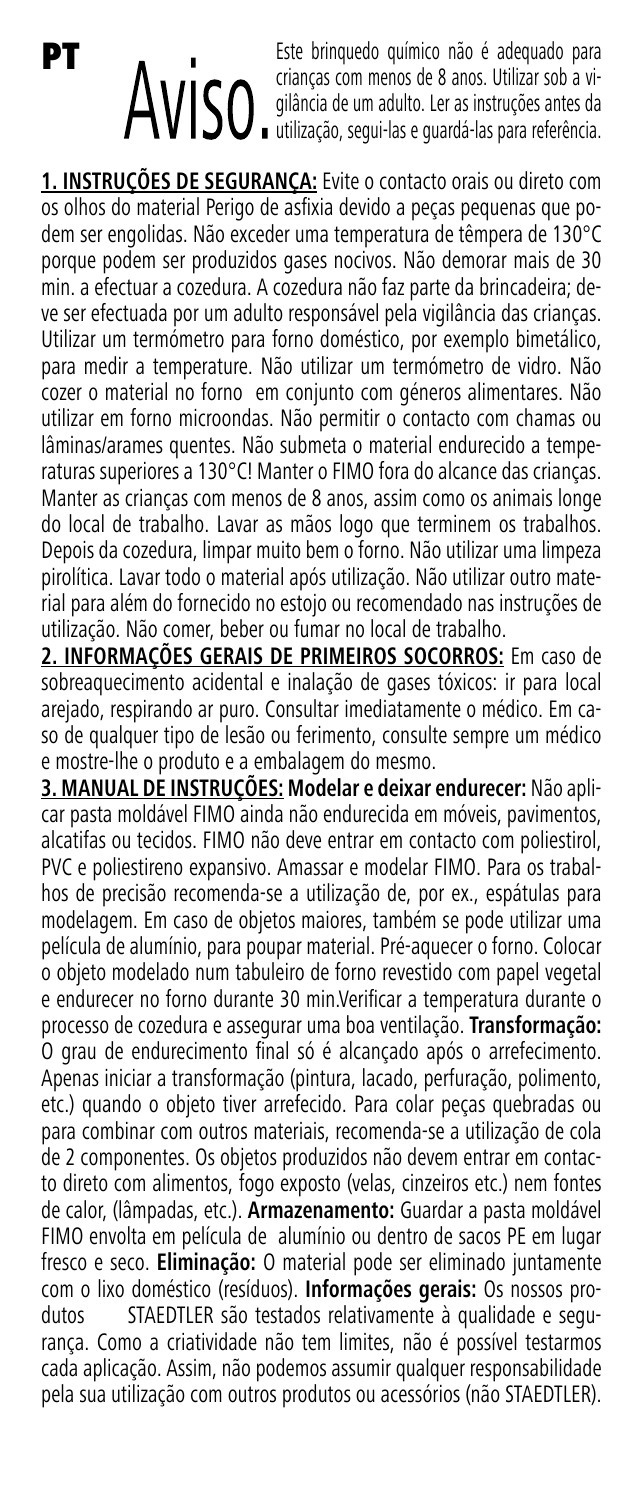### PT

Este brinquedo químico não é adequado para crianças com menos de 8 anos. Utilizar sob a vigilância de um adulto. Ler as instruções antes da utilização, segui-las e guardá-las para referência.

**1. INSTRUÇÕES DE SEGURANÇA:** Evite o contacto orais ou direto com os olhos do material Perigo de asfixia devido a peças pequenas que podem ser engolidas. Não exceder uma temperatura de têmpera de 130°C porque podem ser produzidos gases nocivos. Não demorar mais de 30 min. a efectuar a cozedura. A cozedura não faz parte da brincadeira; deve ser efectuada por um adulto responsável pela vigilância das crianças. Utilizar um termómetro para forno doméstico, por exemplo bimetálico, para medir a temperature. Não utilizar um termómetro de vidro. Não cozer o material no forno em conjunto com géneros alimentares. Não utilizar em forno microondas. Não permitir o contacto com chamas ou lâminas/arames quentes. Não submeta o material endurecido a temperaturas superiores a 130°C! Manter o FIMO fora do alcance das crianças. Manter as crianças com menos de 8 anos, assim como os animais longe do local de trabalho. Lavar as mãos logo que terminem os trabalhos. Depois da cozedura, limpar muito bem o forno. Não utilizar uma limpeza pirolítica. Lavar todo o material após utilização. Não utilizar outro material para além do fornecido no estojo ou recomendado nas instruções de utilização. Não comer, beber ou fumar no local de trabalho.

**2. INFORMAÇÕES GERAIS DE PRIMEIROS SOCORROS:** Em caso de sobreaquecimento acidental e inalação de gases tóxicos: ir para local arejado, respirando ar puro. Consultar imediatamente o médico. Em caso de qualquer tipo de lesão ou ferimento, consulte sempre um médico e mostre-lhe o produto e a embalagem do mesmo.

**3. MANUAL DE INSTRUÇÕES: Modelar e deixar endurecer:** Não aplicar pasta moldável FIMO ainda não endurecida em móveis, pavimentos, alcatifas ou tecidos. FIMO não deve entrar em contacto com poliestirol, PVC e poliestireno expansivo. Amassar e modelar FIMO. Para os trabalhos de precisão recomenda-se a utilização de, por ex., espátulas para modelagem. Em caso de objetos maiores, também se pode utilizar uma película de alumínio, para poupar material. Pré-aquecer o forno. Colocar o objeto modelado num tabuleiro de forno revestido com papel vegetal e endurecer no forno durante 30 min.Verificar a temperatura durante o processo de cozedura e assegurar uma boa ventilação. **Transformação:** O grau de endurecimento final só é alcançado após o arrefecimento. Apenas iniciar a transformação (pintura, lacado, perfuração, polimento, etc.) quando o objeto tiver arrefecido. Para colar peças quebradas ou para combinar com outros materiais, recomenda-se a utilização de cola de 2 componentes. Os objetos produzidos não devem entrar em contacto direto com alimentos, fogo exposto (velas, cinzeiros etc.) nem fontes de calor, (lâmpadas, etc.). **Armazenamento:** Guardar a pasta moldável FIMO envolta em película de alumínio ou dentro de sacos PE em lugar fresco e seco. **Eliminação:** O material pode ser eliminado juntamente com o lixo doméstico (resíduos). **Informações gerais:** Os nossos produtos STAEDTLER são testados relativamente à qualidade e segurança. Como a criatividade não tem limites, não é possível testarmos cada aplicação. Assim, não podemos assumir qualquer responsabilidade pela sua utilização com outros produtos ou acessórios (não STAEDTLER).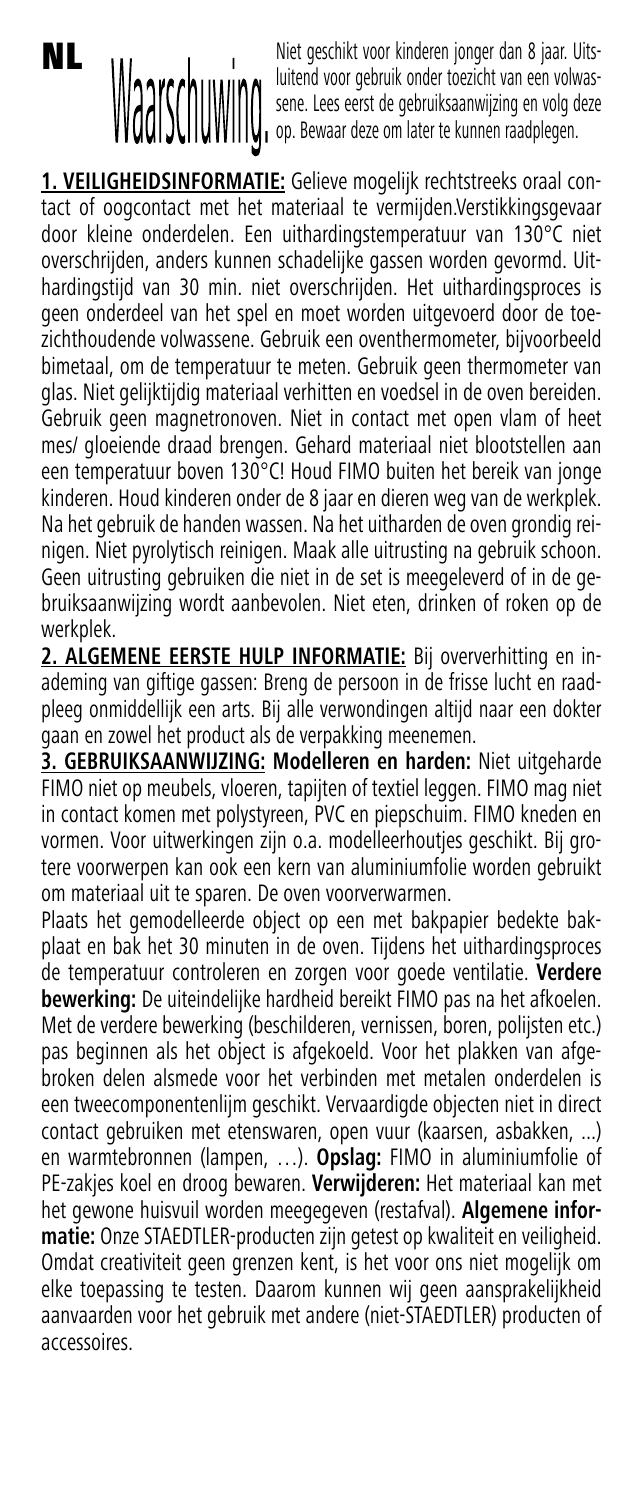

Niet geschikt voor kinderen jonger dan 8 jaar. Uitsluitend voor gebruik onder toezicht van een volwassene. Lees eerst de gebruiksaanwijzing en volg deze op. Bewaar deze om later te kunnen raadplegen.

**1. VEILIGHEIDSINFORMATIE:** Gelieve mogelijk rechtstreeks oraal contact of oogcontact met het materiaal te vermijden.Verstikkingsgevaar door kleine onderdelen. Een uithardingstemperatuur van 130°C niet overschrijden, anders kunnen schadelijke gassen worden gevormd. Uithardingstijd van 30 min. niet overschrijden. Het uithardingsproces is geen onderdeel van het spel en moet worden uitgevoerd door de toezichthoudende volwassene. Gebruik een oventhermometer, bijvoorbeeld bimetaal, om de temperatuur te meten. Gebruik geen thermometer van glas. Niet gelijktijdig materiaal verhitten en voedsel in de oven bereiden. Gebruik geen magnetronoven. Niet in contact met open vlam of heet mes/ gloeiende draad brengen. Gehard materiaal niet blootstellen aan een temperatuur boven 130°C! Houd FIMO buiten het bereik van jonge kinderen. Houd kinderen onder de 8 jaar en dieren weg van de werkplek. Na het gebruik de handen wassen. Na het uitharden de oven grondig reinigen. Niet pyrolytisch reinigen. Maak alle uitrusting na gebruik schoon. Geen uitrusting gebruiken die niet in de set is meegeleverd of in de gebruiksaanwijzing wordt aanbevolen. Niet eten, drinken of roken op de werkplek.

**2. ALGEMENE EERSTE HULP INFORMATIE:** Bij oververhitting en inademing van giftige gassen: Breng de persoon in de frisse lucht en raadpleeg onmiddellijk een arts. Bij alle verwondingen altijd naar een dokter gaan en zowel het product als de verpakking meenemen.

**3. GEBRUIKSAANWIJZING: Modelleren en harden:** Niet uitgeharde FIMO niet op meubels, vloeren, tapijten of textiel leggen. FIMO mag niet in contact komen met polystyreen, PVC en piepschuim. FIMO kneden en vormen. Voor uitwerkingen zijn o.a. modelleerhoutjes geschikt. Bij grotere voorwerpen kan ook een kern van aluminiumfolie worden gebruikt om materiaal uit te sparen. De oven voorverwarmen.

Plaats het gemodelleerde object op een met bakpapier bedekte bakplaat en bak het 30 minuten in de oven. Tijdens het uithardingsproces de temperatuur controleren en zorgen voor goede ventilatie. **Verdere bewerking:** De uiteindelijke hardheid bereikt FIMO pas na het afkoelen. Met de verdere bewerking (beschilderen, vernissen, boren, polijsten etc.) pas beginnen als het object is afgekoeld. Voor het plakken van afgebroken delen alsmede voor het verbinden met metalen onderdelen is een tweecomponentenlijm geschikt. Vervaardigde objecten niet in direct contact gebruiken met etenswaren, open vuur (kaarsen, asbakken, ...) en warmtebronnen (lampen, …). **Opslag:** FIMO in aluminiumfolie of PE-zakjes koel en droog bewaren. **Verwijderen:** Het materiaal kan met het gewone huisvuil worden meegegeven (restafval). **Algemene informatie:** Onze STAEDTLER-producten zijn getest op kwaliteit en veiligheid. Omdat creativiteit geen grenzen kent, is het voor ons niet mogelijk om elke toepassing te testen. Daarom kunnen wij geen aansprakelijkheid aanvaarden voor het gebruik met andere (niet-STAEDTLER) producten of accessoires.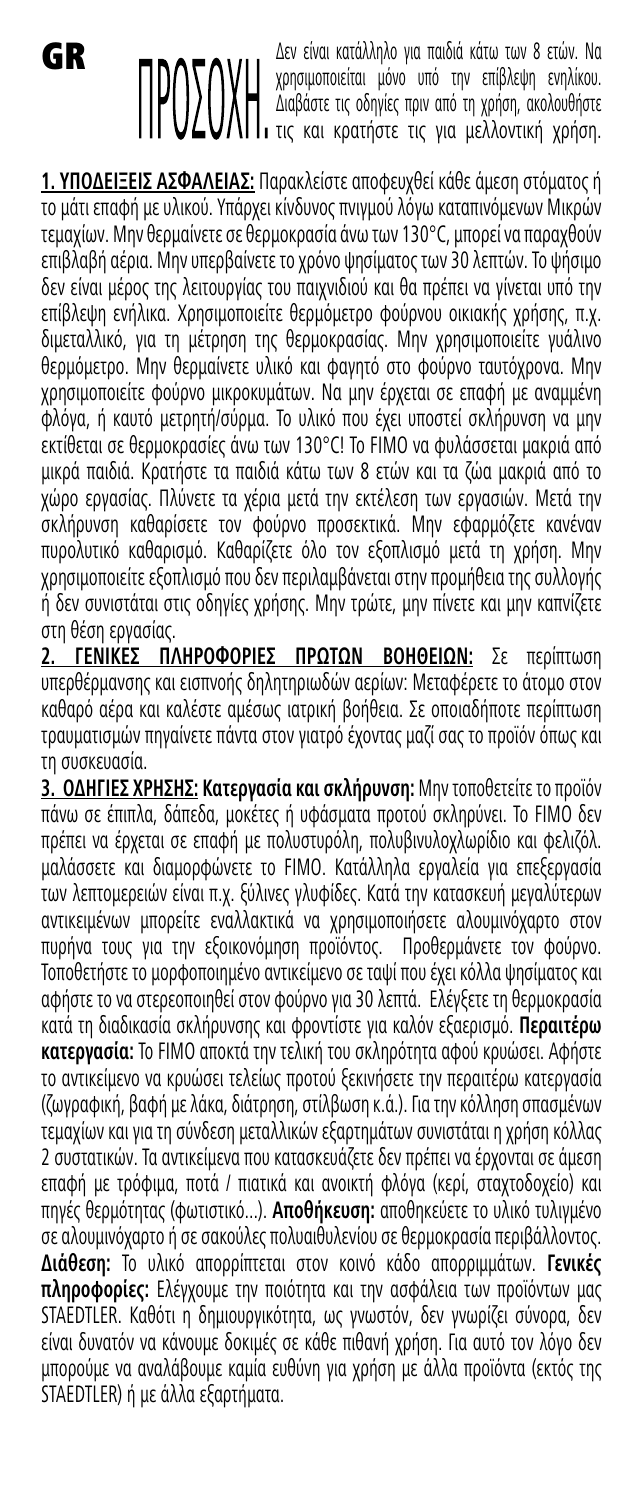GR

Δεν είναι κατάλληλο για παιδιά κάτω των 8 ετών. Να χρησιμοποιειται μονο υπο την επιβλεψη ενηλικου. Διαβάστε τις οδηγίες πριν από τη χρήση, ακολουθήστε τις και κρατήστε τις για μελλοντική χρήση.

**1. ΥΠΟΔΕΙΞΕΙΣ ΑΣΦΑΛΕΙΑΣ:** Παρακλείστε αποφευχθεί κάθε άμεση στόματος ή το μάτι επαφή με υλικού. Υπάρχει κίνδυνος πνιγμού λόγω καταπινόμενων Μικρών τεμαχίων. Μην θερμαίνετε σε θερμοκρασία άνω των 130°C, μπορεί να παραχθούν επιβλαβή αέρια. Μην υπερβαίνετε το χρόνο ψησίματος των 30 λεπτών. Το ψήσιμο δεν είναι μέρος της λειτουργίας του παιχνιδιού και θα πρέπει να γίνεται υπό την επίβλεψη ενήλικα. Χρησιμοποιείτε θερμόμετρο φούρνου οικιακής χρήσης, π.χ. διμεταλλικό, για τη μέτρηση της θερμοκρασίας. Μην χρησιμοποιείτε γυάλινο θερμόμετρο. Μην θερμαίνετε υλικό και φαγητό στο φούρνο ταυτόχρονα. Μην χρησιμοποιείτε φούρνο μικροκυμάτων. Να μην έρχεται σε επαφή με αναμμένη φλόγα, ή καυτό μετρητή/σύρμα. Το υλικό που έχει υποστεί σκλήρυνση να μην εκτίθεται σε θερμοκρασίες άνω των 130°C! Το FIMO να φυλάσσεται μακριά από μικρά παιδιά. Κρατήστε τα παιδιά κάτω των 8 ετών και τα ζώα μακριά από το χώρο εργασίας. Πλύνετε τα χέρια μετά την εκτέλεση των εργασιών. Μετά την σκλήρυνση καθαρίσετε τον φούρνο προσεκτικά. Μην εφαρμόζετε κανέναν πυρολυτικό καθαρισμό. Καθαρίζετε όλο τον εξοπλισμό μετά τη χρήση. Μην χρησιμοποιείτε εξοπλισμό που δεν περιλαμβάνεται στην προμήθεια της συλλογής ή δεν συνιστάται στις οδηγίες χρήσης. Μην τρώτε, μην πίνετε και μην καπνίζετε στη θέση εργασίας.

**2. ΓΕΝΙΚΕΣ ΠΛΗΡΟΦΟΡΙΕΣ ΠΡΩΤΩΝ ΒΟΗΘΕΙΩΝ:** Σε περίπτωση υπερθέρμανσης και εισπνοής δηλητηριωδών αερίων: Μεταφέρετε το άτομο στον καθαρό αέρα και καλέστε αμέσως ιατρική βοήθεια. Σε οποιαδήποτε περίπτωση τραυματισμών πηγαίνετε πάντα στον γιατρό έχοντας μαζί σας το προϊόν όπως και τη συσκευασία.

**3. ΟΔΗΓΙΕΣ ΧΡΗΣΗΣ: Κατεργασία και σκλήρυνση:** Μην τοποθετείτε το προϊόν πάνω σε έπιπλα, δάπεδα, μοκέτες ή υφάσματα προτού σκληρύνει. Το FIMO δεν πρέπει να έρχεται σε επαφή με πολυστυρόλη, πολυβινυλοχλωρίδιο και φελιζόλ. μαλάσσετε και διαμορφώνετε το FIMO. Κατάλληλα εργαλεία για επεξεργασία των λεπτομερειών είναι π.χ. ξύλινες γλυφίδες. Κατά την κατασκευή μεγαλύτερων αντικειμένων μπορείτε εναλλακτικά να χρησιμοποιήσετε αλουμινόχαρτο στον πυρήνα τους για την εξοικονόμηση προϊόντος. Προθερμάνετε τον φούρνο. Τοποθετήστε το μορφοποιημένο αντικείμενο σε ταψί που έχει κόλλα ψησίματος και αφήστε το να στερεοποιηθεί στον φούρνο για 30 λεπτά. Ελέγξετε τη θερμοκρασία κατά τη διαδικασία σκλήρυνσης και φροντίστε για καλόν εξαερισμό. **Περαιτέρω κατεργασία:** Το FIMO αποκτά την τελική του σκληρότητα αφού κρυώσει. Αφήστε το αντικείμενο να κρυώσει τελείως προτού ξεκινήσετε την περαιτέρω κατεργασία (ζωγραφική, βαφή με λάκα, διάτρηση, στίλβωση κ.ά.). Για την κόλληση σπασμένων τεμαχίων και για τη σύνδεση μεταλλικών εξαρτημάτων συνιστάται η χρήση κόλλας 2 συστατικών. Τα αντικείμενα που κατασκευάζετε δεν πρέπει να έρχονται σε άμεση επαφή με τρόφιμα, ποτά / πιατικά και ανοικτή φλόγα (κερί, σταχτοδοχείο) και πηγές θερμότητας (φωτιστικό...). **Αποθήκευση:** αποθηκεύετε το υλικό τυλιγμένο σε αλουμινόχαρτο ή σε σακούλες πολυαιθυλενίου σε θερμοκρασία περιβάλλοντος. **Διάθεση:** Το υλικό απορρίπτεται στον κοινό κάδο απορριμμάτων. **Γενικές πληροφορίες:** Ελέγχουμε την ποιότητα και την ασφάλεια των προϊόντων μας STAEDTLER. Καθότι η δημιουργικότητα, ως γνωστόν, δεν γνωρίζει σύνορα, δεν είναι δυνατόν να κάνουμε δοκιμές σε κάθε πιθανή χρήση. Για αυτό τον λόγο δεν μπορούμε να αναλάβουμε καμία ευθύνη για χρήση με άλλα προϊόντα (εκτός της STAEDTLER) ή με άλλα εξαρτήματα.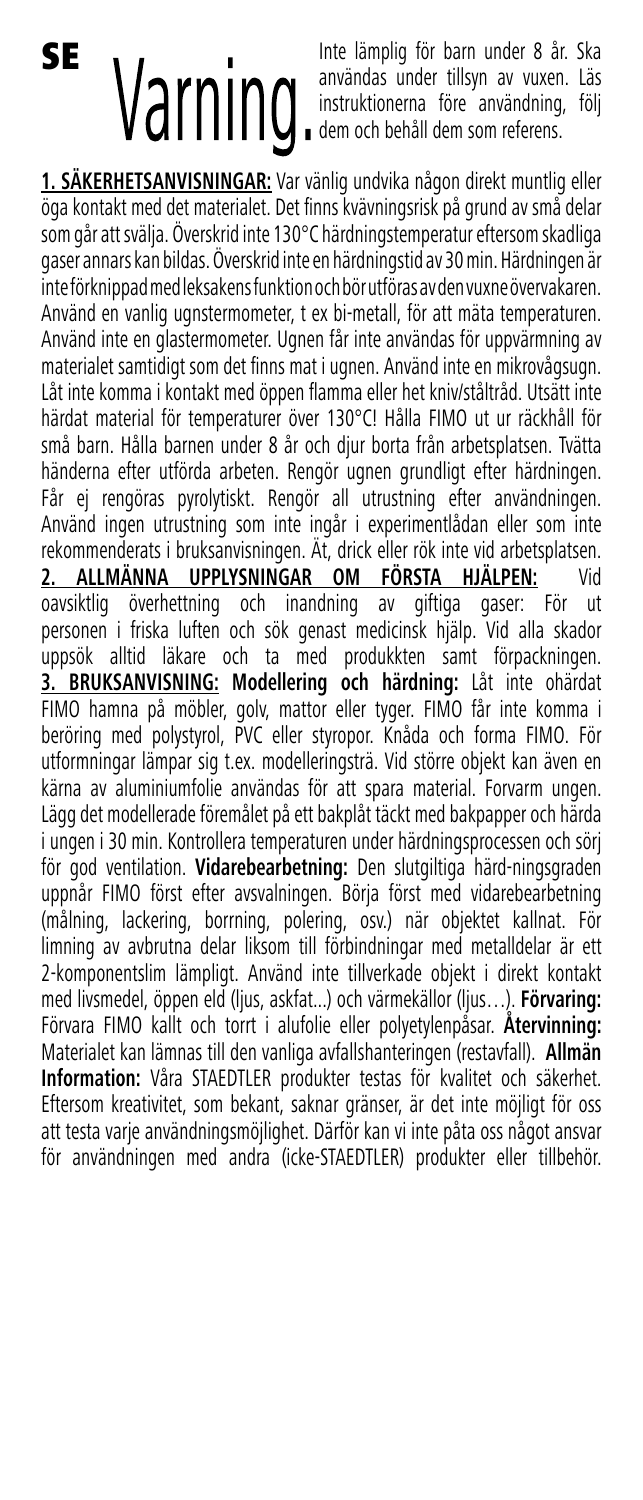# **SE**

Inte lämplig för barn under 8 år. Ska användas under tillsyn av vuxen. Läs instruktionerna före användning, följ Varning, användas under tillsyn av vuxen.<br>
instruktionerna före användning, dem och behåll dem som referens.

**1. SÄKERHETSANVISNINGAR:** Var vänlig undvika någon direkt muntlig eller öga kontakt med det materialet. Det finns kvävningsrisk på grund av små delar som går att svälja. Överskrid inte 130°C härdningstemperatur eftersom skadliga gaser annars kan bildas. Överskrid inte en härdningstid av 30 min. Härdningen är inte förknippad med leksakens funktion och bör utföras av den vuxne övervakaren. Använd en vanlig ugnstermometer, t ex bi-metall, för att mäta temperaturen. Använd inte en glastermometer. Ugnen får inte användas för uppvärmning av materialet samtidigt som det finns mat i ugnen. Använd inte en mikrovågsugn. Låt inte komma i kontakt med öppen flamma eller het kniv/ståltråd. Utsätt inte härdat material för temperaturer över 130°C! Hålla FIMO ut ur räckhåll för små barn. Hålla barnen under 8 år och djur borta från arbetsplatsen. Tvätta händerna efter utförda arbeten. Rengör ugnen grundligt efter härdningen. Får ej rengöras pyrolytiskt. Rengör all utrustning efter användningen. Använd ingen utrustning som inte ingår i experimentlådan eller som inte rekommenderats i bruksanvisningen. Ät, drick eller rök inte vid arbetsplatsen. **2. ALLMÄNNA UPPLYSNINGAR OM FÖRSTA HJÄLPEN:** Vid oavsiktlig överhettning och inandning av giftiga gaser: För ut personen i friska luften och sök genast medicinsk hjälp. Vid alla skador uppsök alltid läkare och ta med produkkten samt förpackningen. **3. BRUKSANVISNING: Modellering och härdning:** Låt inte ohärdat FIMO hamna på möbler, golv, mattor eller tyger. FIMO får inte komma i beröring med polystyrol, PVC eller styropor. Knåda och forma FIMO. För utformningar lämpar sig t.ex. modelleringsträ. Vid större objekt kan även en kärna av aluminiumfolie användas för att spara material. Forvarm ungen. Lägg det modellerade föremålet på ett bakplåt täckt med bakpapper och härda i ungen i 30 min. Kontrollera temperaturen under härdningsprocessen och sörj för god ventilation. **Vidarebearbetning:** Den slutgiltiga härd-ningsgraden uppnår FIMO först efter avsvalningen. Börja först med vidarebearbetning (målning, lackering, borrning, polering, osv.) när objektet kallnat. För limning av avbrutna delar liksom till förbindningar med metalldelar är ett 2-komponentslim lämpligt. Använd inte tillverkade objekt i direkt kontakt med livsmedel, öppen eld (ljus, askfat...) och värmekällor (ljus…). **Förvaring:**  Förvara FIMO kallt och torrt i alufolie eller polyetylenpåsar. **Återvinning:** Materialet kan lämnas till den vanliga avfallshanteringen (restavfall). **Allmän Information:** Våra STAEDTLER produkter testas för kvalitet och säkerhet. Eftersom kreativitet, som bekant, saknar gränser, är det inte möjligt för oss att testa varje användningsmöjlighet. Därför kan vi inte påta oss något ansvar för användningen med andra (icke-STAEDTLER) produkter eller tillbehör.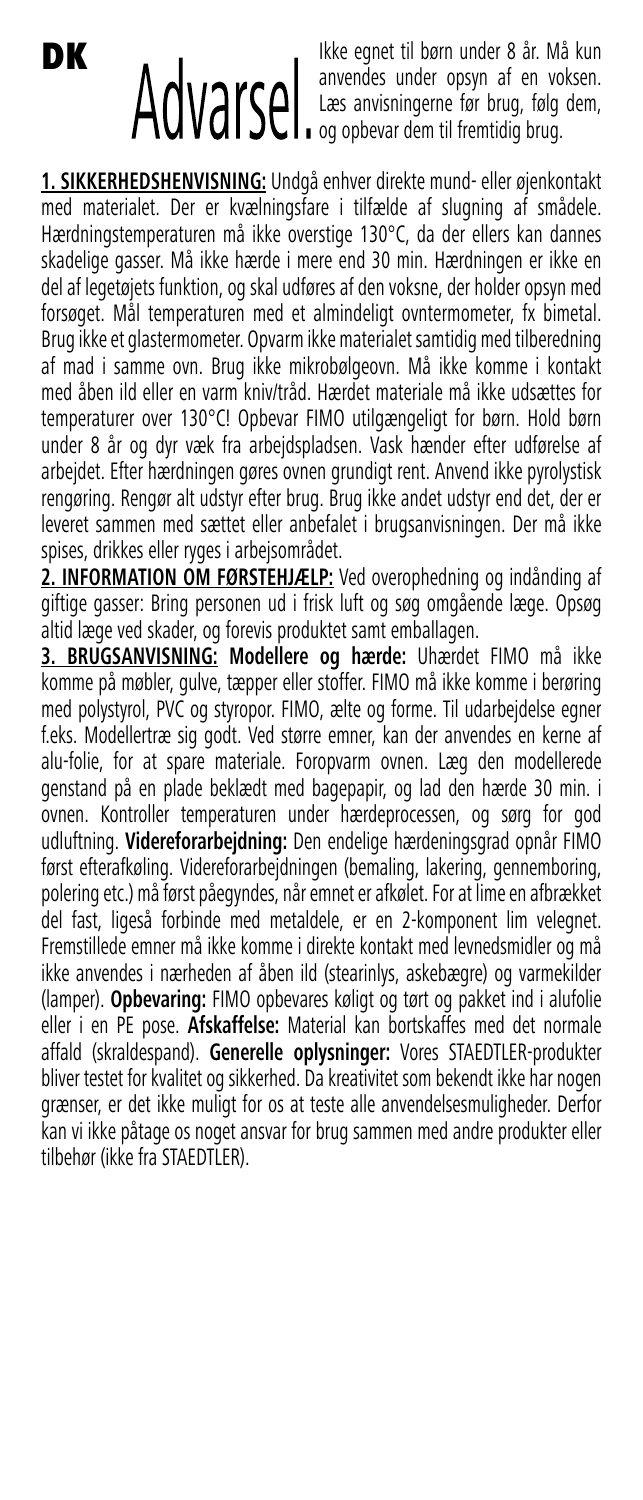## DK

Ikke egnet til børn under 8 år. Må kun anvendes under opsyn af en voksen. Læs anvisningerne før brug, følg dem, og opbevar dem til fremtidig brug.

**1. SIKKERHEDSHENVISNING:** Undgå enhver direkte mund- eller øjenkontakt med materialet. Der er kvælningsfare i tilfælde af slugning af smådele. Hærdningstemperaturen må ikke overstige 130°C, da der ellers kan dannes skadelige gasser. Må ikke hærde i mere end 30 min. Hærdningen er ikke en del af legetøjets funktion, og skal udføres af den voksne, der holder opsyn med forsøget. Mål temperaturen med et almindeligt ovntermometer, fx bimetal. Brug ikke et glastermometer. Opvarm ikke materialet samtidig med tilberedning af mad i samme ovn. Brug ikke mikrobølgeovn. Må ikke komme i kontakt med åben ild eller en varm kniv/tråd. Hærdet materiale må ikke udsættes for temperaturer over 130°C! Opbevar FIMO utilgængeligt for børn. Hold børn under 8 år og dyr væk fra arbejdspladsen. Vask hænder efter udførelse af arbejdet. Efter hærdningen gøres ovnen grundigt rent. Anvend ikke pyrolystisk rengøring. Rengør alt udstyr efter brug. Brug ikke andet udstyr end det, der er leveret sammen med sættet eller anbefalet i brugsanvisningen. Der må ikke spises, drikkes eller ryges i arbejsområdet.

**2. INFORMATION OM FØRSTEHJÆLP:** Ved overophedning og indånding af giftige gasser: Bring personen ud i frisk luft og søg omgående læge. Opsøg altid læge ved skader, og forevis produktet samt emballagen.

**3. BRUGSANVISNING: Modellere og hærde:** Uhærdet FIMO må ikke komme på møbler, gulve, tæpper eller stoffer. FIMO må ikke komme i berøring med polystyrol, PVC og styropor. FIMO, ælte og forme. Til udarbejdelse egner f.eks. Modellertræ sig godt. Ved større emner, kan der anvendes en kerne af alu-folie, for at spare materiale. Foropvarm ovnen. Læg den modellerede genstand på en plade beklædt med bagepapir, og lad den hærde 30 min. i ovnen. Kontroller temperaturen under hærdeprocessen, og sørg for god udluftning. **Videreforarbejdning:** Den endelige hærdeningsgrad opnår FIMO først efterafkøling. Videreforarbejdningen (bemaling, lakering, gennemboring, polering etc.) må først påegyndes, når emnet er afkølet. For at lime en afbrækket del fast, ligeså forbinde med metaldele, er en 2-komponent lim velegnet. Fremstillede emner må ikke komme i direkte kontakt med levnedsmidler og må ikke anvendes i nærheden af åben ild (stearinlys, askebægre) og varmekilder (lamper). **Opbevaring:** FIMO opbevares køligt og tørt og pakket ind i alufolie eller i en PE pose. **Afskaffelse:** Material kan bortskaffes med det normale affald (skraldespand). **Generelle oplysninger:** Vores STAEDTLER-produkter bliver testet for kvalitet og sikkerhed. Da kreativitet som bekendt ikke har nogen grænser, er det ikke muligt for os at teste alle anvendelsesmuligheder. Derfor kan vi ikke påtage os noget ansvar for brug sammen med andre produkter eller tilbehør (ikke fra STAEDTLER).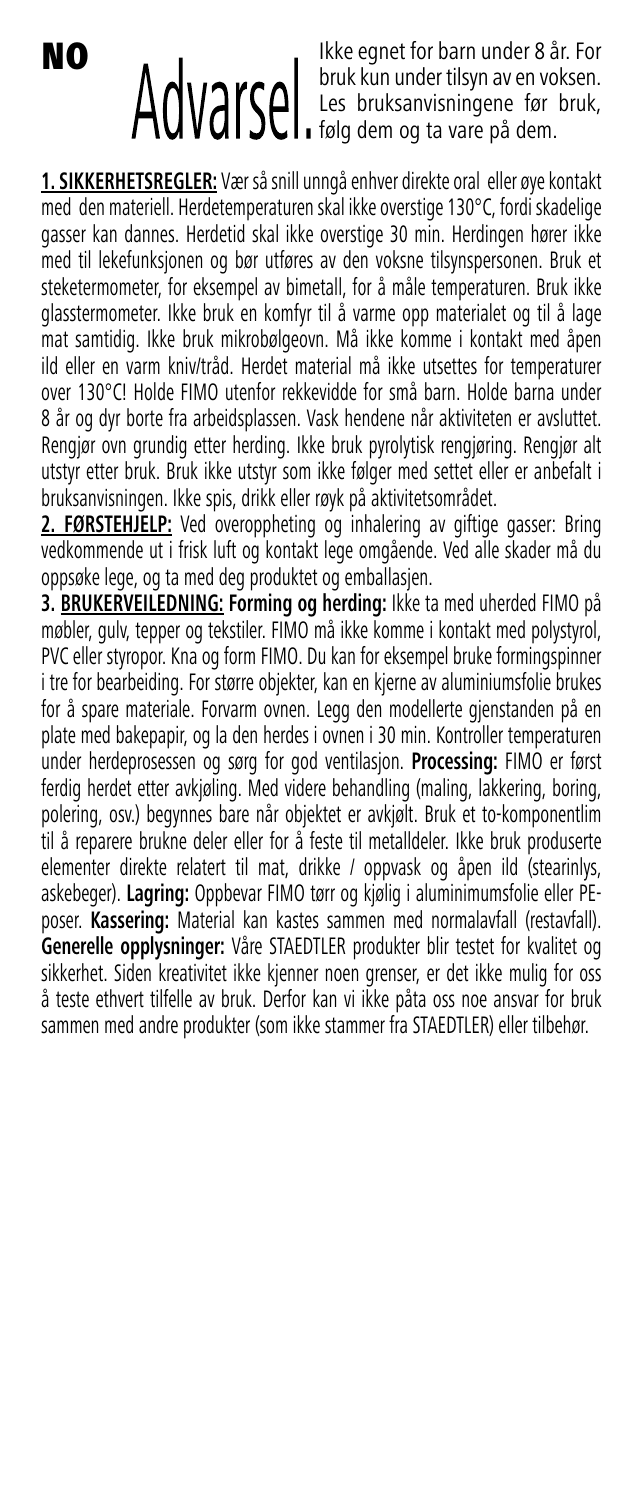#### NO

Ikke egnet for barn under 8 år. For bruk kun under tilsyn av en voksen. Les bruksanvisningene før bruk, følg dem og ta vare på dem.

**1. SIKKERHETSREGLER:** Vær så snill unngå enhver direkte oral eller øye kontakt med den materiell. Herdetemperaturen skal ikke overstige 130°C, fordi skadelige gasser kan dannes. Herdetid skal ikke overstige 30 min. Herdingen hører ikke med til lekefunksjonen og bør utføres av den voksne tilsynspersonen. Bruk et steketermometer, for eksempel av bimetall, for å måle temperaturen. Bruk ikke glasstermometer. Ikke bruk en komfyr til å varme opp materialet og til å lage mat samtidig. Ikke bruk mikrobølgeovn. Må ikke komme i kontakt med åpen ild eller en varm kniv/tråd. Herdet material må ikke utsettes for temperaturer over 130°C! Holde FIMO utenfor rekkevidde for små barn. Holde barna under 8 år og dyr borte fra arbeidsplassen. Vask hendene når aktiviteten er avsluttet. Rengjør ovn grundig etter herding. Ikke bruk pyrolytisk rengjøring. Rengjør alt utstyr etter bruk. Bruk ikke utstyr som ikke følger med settet eller er anbefalt i bruksanvisningen. Ikke spis, drikk eller røyk på aktivitetsområdet.

**2. FØRSTEHJELP:** Ved overoppheting og inhalering av giftige gasser: Bring vedkommende ut i frisk luft og kontakt lege omgående. Ved alle skader må du oppsøke lege, og ta med deg produktet og emballasjen.

**3. BRUKERVEILEDNING: Forming og herding:** Ikke ta med uherded FIMO på møbler, gulv, tepper og tekstiler. FIMO må ikke komme i kontakt med polystyrol, PVC eller styropor. Kna og form FIMO. Du kan for eksempel bruke formingspinner i tre for bearbeiding. For større objekter, kan en kjerne av aluminiumsfolie brukes for å spare materiale. Forvarm ovnen. Legg den modellerte gjenstanden på en plate med bakepapir, og la den herdes i ovnen i 30 min. Kontroller temperaturen under herdeprosessen og sørg for god ventilasjon. **Processing:** FIMO er først ferdig herdet etter avkjøling. Med videre behandling (maling, lakkering, boring, polering, osv.) begynnes bare når objektet er avkjølt. Bruk et to-komponentlim til å reparere brukne deler eller for å feste til metalldeler. Ikke bruk produserte elementer direkte relatert til mat, drikke / oppvask og åpen ild (stearinlys, askebeger). **Lagring:** Oppbevar FIMO tørr og kjølig i aluminimumsfolie eller PEposer. **Kassering:** Material kan kastes sammen med normalavfall (restavfall). **Generelle opplysninger:** Våre STAEDTLER produkter blir testet for kvalitet og sikkerhet. Siden kreativitet ikke kjenner noen grenser, er det ikke mulig for oss å teste ethvert tilfelle av bruk. Derfor kan vi ikke påta oss noe ansvar for bruk sammen med andre produkter (som ikke stammer fra STAEDTLER) eller tilbehør.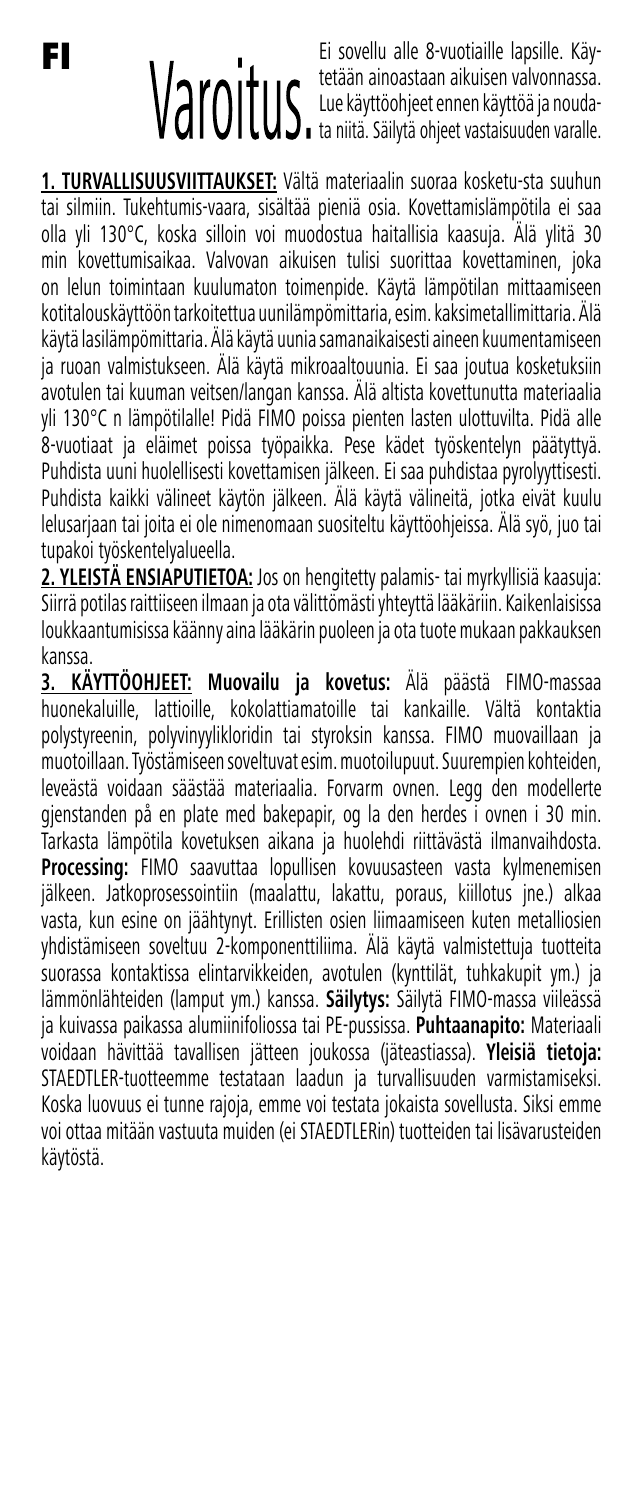## FI

Ei sovellu alle 8-vuotiaille lapsille. Käytetään ainoastaan aikuisen valvonnassa. Lue käyttöohjeet ennen käyttöä ja noudata niitä. Säilytä ohjeet vastaisuuden varalle.

**1. TURVALLISUUSVIITTAUKSET:** Vältä materiaalin suoraa kosketu-sta suuhun tai silmiin. Tukehtumis-vaara, sisältää pieniä osia. Kovettamislämpötila ei saa olla yli 130°C, koska silloin voi muodostua haitallisia kaasuja. Älä ylitä 30 min kovettumisaikaa. Valvovan aikuisen tulisi suorittaa kovettaminen, joka on lelun toimintaan kuulumaton toimenpide. Käytä lämpötilan mittaamiseen kotitalouskäyttöön tarkoitettua uunilämpömittaria, esim. kaksimetallimittaria. Älä käytä lasilämpömittaria. Älä käytä uunia samanaikaisesti aineen kuumentamiseen ja ruoan valmistukseen. Älä käytä mikroaaltouunia. Ei saa joutua kosketuksiin avotulen tai kuuman veitsen/langan kanssa. Älä altista kovettunutta materiaalia yli 130°C n lämpötilalle! Pidä FIMO poissa pienten lasten ulottuvilta. Pidä alle 8-vuotiaat ja eläimet poissa työpaikka. Pese kädet työskentelyn päätyttyä. Puhdista uuni huolellisesti kovettamisen jälkeen. Ei saa puhdistaa pyrolyyttisesti. Puhdista kaikki välineet käytön jälkeen. Älä käytä välineitä, jotka eivät kuulu lelusarjaan tai joita ei ole nimenomaan suositeltu käyttöohjeissa. Älä syö, juo tai tupakoi työskentelyalueella.

**2. YLEISTÄ ENSIAPUTIETOA:** Jos on hengitetty palamis- tai myrkyllisiä kaasuja: Siirrä potilas raittiiseen ilmaan ja ota välittömästi yhteyttä lääkäriin. Kaikenlaisissa loukkaantumisissa käänny aina lääkärin puoleen ja ota tuote mukaan pakkauksen kanssa.

**3. KÄYTTÖOHJEET: Muovailu ja kovetus:** Älä päästä FIMO-massaa huonekaluille, lattioille, kokolattiamatoille tai kankaille. Vältä kontaktia polystyreenin, polyvinyylikloridin tai styroksin kanssa. FIMO muovaillaan ja muotoillaan. Työstämiseen soveltuvat esim. muotoilupuut. Suurempien kohteiden, leveästä voidaan säästää materiaalia. Forvarm ovnen. Legg den modellerte gjenstanden på en plate med bakepapir, og la den herdes i ovnen i 30 min. Tarkasta lämpötila kovetuksen aikana ja huolehdi riittävästä ilmanvaihdosta. **Processing:** FIMO saavuttaa lopullisen kovuusasteen vasta kylmenemisen jälkeen. Jatkoprosessointiin (maalattu, lakattu, poraus, kiillotus jne.) alkaa vasta, kun esine on jäähtynyt. Erillisten osien liimaamiseen kuten metalliosien yhdistämiseen soveltuu 2-komponenttiliima. Älä käytä valmistettuja tuotteita suorassa kontaktissa elintarvikkeiden, avotulen (kynttilät, tuhkakupit ym.) ja lämmönlähteiden (lamput ym.) kanssa. **Säilytys:** Säilytä FIMO-massa viileässä ja kuivassa paikassa alumiinifoliossa tai PE-pussissa. **Puhtaanapito:** Materiaali voidaan hävittää tavallisen jätteen joukossa (jäteastiassa). **Yleisiä tietoja:**  STAEDTLER-tuotteemme testataan laadun ja turvallisuuden varmistamiseksi. Koska luovuus ei tunne rajoja, emme voi testata jokaista sovellusta. Siksi emme voi ottaa mitään vastuuta muiden (ei STAEDTLERin) tuotteiden tai lisävarusteiden käytöstä.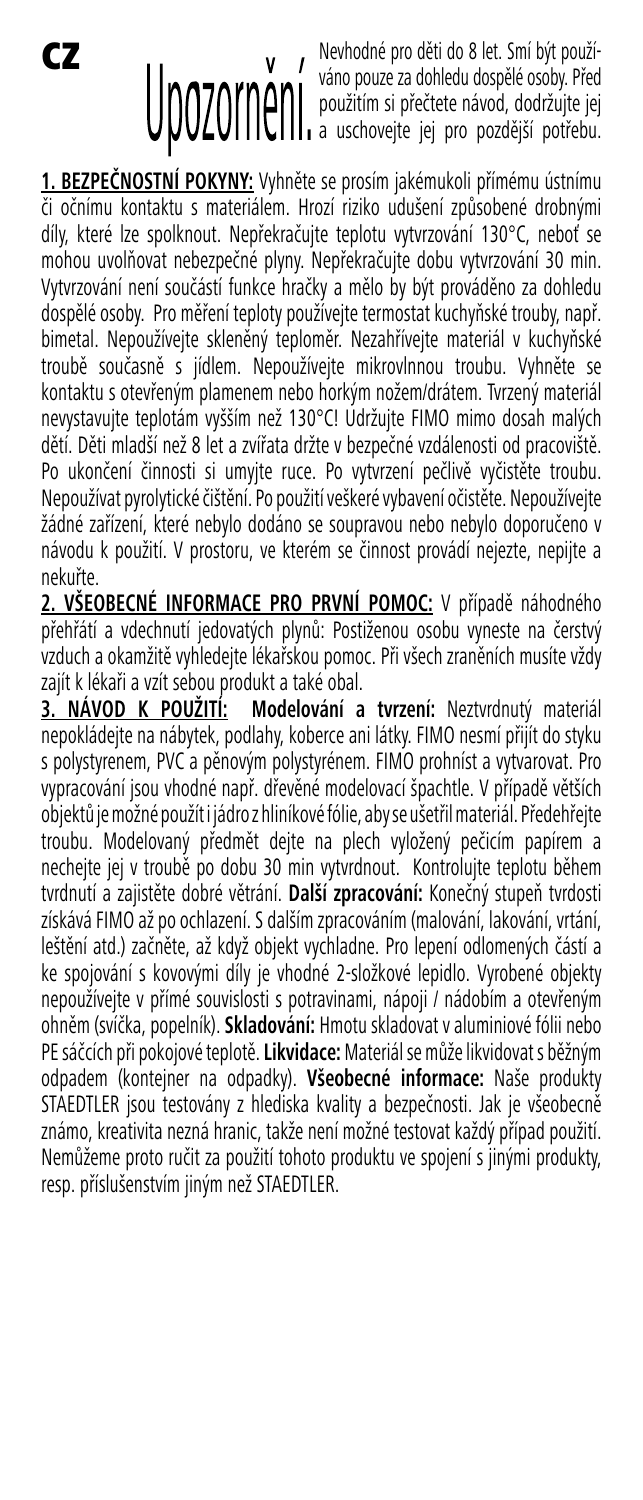CZ

Nevhodné pro děti do 8 let. Smí být používáno pouze za dohledu dospělé osoby. Před použitím si přečtete návod, dodržujte jej a uschovejte jej pro pozdější potřebu.

**1. BEZPEČNOSTNÍ POKYNY:** Vyhněte se prosím jakémukoli přímému ústnímu či očnímu kontaktu s materiálem. Hrozí riziko udušení způsobené drobnými díly, které lze spolknout. Nepřekračujte teplotu vytvrzování 130°C, neboť se mohou uvolňovat nebezpečné plyny. Nepřekračujte dobu vytvrzování 30 min. Vytvrzování není součástí funkce hračky a mělo by být prováděno za dohledu dospělé osoby. Pro měření teploty používejte termostat kuchyňské trouby, např. bimetal. Nepoužívejte skleněný teploměr. Nezahřívejte materiál v kuchyňské troubě současně s jídlem. Nepoužívejte mikrovlnnou troubu. Vyhněte se kontaktu s otevřeným plamenem nebo horkým nožem/drátem. Tvrzený materiál nevystavujte teplotám vyšším než 130°C! Udržujte FIMO mimo dosah malých dětí. Děti mladší než 8 let a zvířata držte v bezpečné vzdálenosti od pracoviště. Po ukončení činnosti si umyjte ruce. Po vytvrzení pečlivě vyčistěte troubu. Nepoužívat pyrolytické čištění. Po použití veškeré vybavení očistěte. Nepoužívejte žádné zařízení, které nebylo dodáno se soupravou nebo nebylo doporučeno v návodu k použití. V prostoru, ve kterém se činnost provádí nejezte, nepijte a nekuřte.

**2. VŠEOBECNÉ INFORMACE PRO PRVNÍ POMOC:** V případě náhodného přehřátí a vdechnutí jedovatých plynů: Postiženou osobu vyneste na čerstvý vzduch a okamžitě vyhledejte lékařskou pomoc. Při všech zraněních musíte vždy zajít k lékaři a vzít sebou produkt a také obal.

**3. NÁVOD K POUŽITÍ: Modelování a tvrzení:** Neztvrdnutý materiál nepokládejte na nábytek, podlahy, koberce ani látky. FIMO nesmí přijít do styku s polystyrenem, PVC a pěnovým polystyrénem. FIMO prohníst a vytvarovat. Pro vypracování jsou vhodné např. dřevěné modelovací špachtle. V případě větších objektů je možné použít i jádro z hliníkové fólie, aby se ušetřil materiál. Předehřejte troubu. Modelovaný předmět dejte na plech vyložený pečicím papírem a nechejte jej v troubě po dobu 30 min vytvrdnout. Kontrolujte teplotu během tvrdnutí a zajistěte dobré větrání. **Další zpracování:** Konečný stupeň tvrdosti získává FIMO až po ochlazení. S dalším zpracováním (malování, lakování, vrtání, leštění atd.) začněte, až když objekt vychladne. Pro lepení odlomených částí a ke spojování s kovovými díly je vhodné 2-složkové lepidlo. Vyrobené objekty nepoužívejte v přímé souvislosti s potravinami, nápoji / nádobím a otevřeným ohněm (svíčka, popelník). **Skladování:** Hmotu skladovat v aluminiové fólii nebo PE sáčcích při pokojové teplotě. **Likvidace:** Materiál se může likvidovat s běžným odpadem (kontejner na odpadky). **Všeobecné informace:** Naše produkty STAEDTLER jsou testovány z hlediska kvality a bezpečnosti. Jak je všeobecně známo, kreativita nezná hranic, takže není možné testovat každý případ použití. Nemůžeme proto ručit za použití tohoto produktu ve spojení s jinými produkty, resp. příslušenstvím jiným než STAEDTLER.